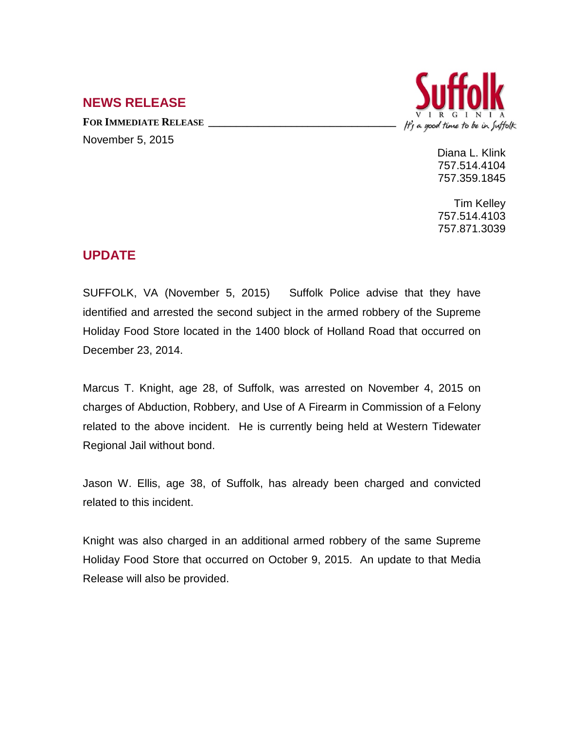## **NEWS RELEASE**

FOR **IMMEDIATE RELEASE** November 5, 2015



Diana L. Klink 757.514.4104 757.359.1845

Tim Kelley 757.514.4103 757.871.3039

## **UPDATE**

SUFFOLK, VA (November 5, 2015) Suffolk Police advise that they have identified and arrested the second subject in the armed robbery of the Supreme Holiday Food Store located in the 1400 block of Holland Road that occurred on December 23, 2014.

Marcus T. Knight, age 28, of Suffolk, was arrested on November 4, 2015 on charges of Abduction, Robbery, and Use of A Firearm in Commission of a Felony related to the above incident. He is currently being held at Western Tidewater Regional Jail without bond.

Jason W. Ellis, age 38, of Suffolk, has already been charged and convicted related to this incident.

Knight was also charged in an additional armed robbery of the same Supreme Holiday Food Store that occurred on October 9, 2015. An update to that Media Release will also be provided.